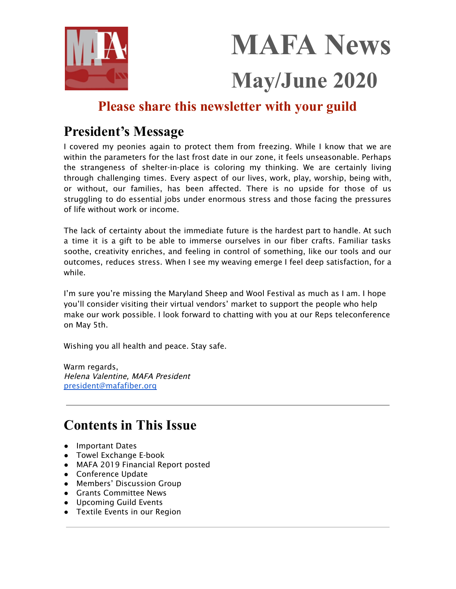



# **Please share this newsletter with your guild**

# **President's Message**

I covered my peonies again to protect them from freezing. While I know that we are within the parameters for the last frost date in our zone, it feels unseasonable. Perhaps the strangeness of shelter-in-place is coloring my thinking. We are certainly living through challenging times. Every aspect of our lives, work, play, worship, being with, or without, our families, has been affected. There is no upside for those of us struggling to do essential jobs under enormous stress and those facing the pressures of life without work or income.

The lack of certainty about the immediate future is the hardest part to handle. At such a time it is a gift to be able to immerse ourselves in our fiber crafts. Familiar tasks soothe, creativity enriches, and feeling in control of something, like our tools and our outcomes, reduces stress. When I see my weaving emerge I feel deep satisfaction, for a while.

I'm sure you're missing the Maryland Sheep and Wool Festival as much as I am. I hope you'll consider visiting their virtual vendors' market to support the people who help make our work possible. I look forward to chatting with you at our Reps teleconference on May 5th.

Wishing you all health and peace. Stay safe.

Warm regards, Helena Valentine, MAFA President [president@mafafiber.org](mailto:president@mafafiber.org)

# **Contents in This Issue**

- Important Dates
- Towel Exchange E-book
- MAFA 2019 Financial Report posted
- Conference Update
- Members' Discussion Group
- Grants Committee News
- Upcoming Guild Events
- Textile Events in our Region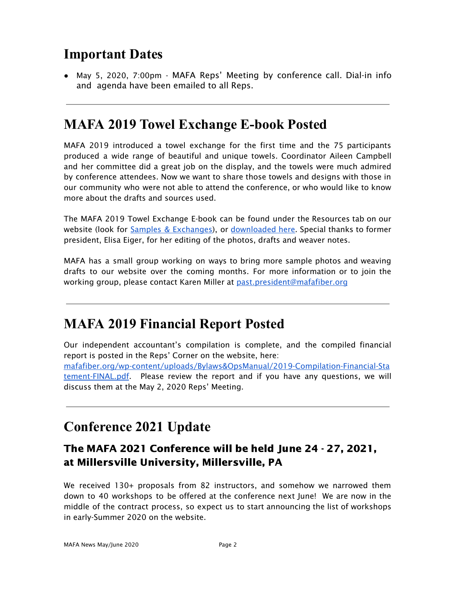# **Important Dates**

● May 5, 2020, 7:00pm - MAFA Reps' Meeting by conference call. Dial-in info and agenda have been emailed to all Reps.

# **MAFA 2019 Towel Exchange E-book Posted**

MAFA 2019 introduced a towel exchange for the first time and the 75 participants produced a wide range of beautiful and unique towels. Coordinator Aileen Campbell and her committee did a great job on the display, and the towels were much admired by conference attendees. Now we want to share those towels and designs with those in our community who were not able to attend the conference, or who would like to know more about the drafts and sources used.

The MAFA 2019 Towel Exchange E-book can be found under the Resources tab on our website (look for Samples & [Exchanges\)](https://mafafiber.org/resource_category/samples/), or [downloaded](https://mafafiber.org/wp-content/uploads/Samples-eBooks/2019-Towel-Exchange-Booklet_v1.1.pdf) here. Special thanks to former president, Elisa Eiger, for her editing of the photos, drafts and weaver notes.

MAFA has a small group working on ways to bring more sample photos and weaving drafts to our website over the coming months. For more information or to join the working group, please contact Karen Miller at [past.president@mafafiber.org](mailto:past.president@mafafiber.org)

# **MAFA 2019 Financial Report Posted**

Our independent accountant's compilation is complete, and the compiled financial report is posted in the Reps' Corner on the website, here: [mafafiber.org/wp-content/uploads/Bylaws&OpsManual/2019-Compilation-Financial-Sta](https://mafafiber.org/wp-content/uploads/Bylaws&OpsManual/2019-Compilation-Financial-Statement-FINAL.pdf) [tement-FINAL.pdf](https://mafafiber.org/wp-content/uploads/Bylaws&OpsManual/2019-Compilation-Financial-Statement-FINAL.pdf). Please review the report and if you have any questions, we will discuss them at the May 2, 2020 Reps' Meeting.

# **Conference 2021 Update**

## The MAFA 2021 Conference will be held June 24 - 27, 2021, at Millersville University, Millersville, PA

We received 130+ proposals from 82 instructors, and somehow we narrowed them down to 40 workshops to be offered at the conference next June! We are now in the middle of the contract process, so expect us to start announcing the list of workshops in early-Summer 2020 on the website.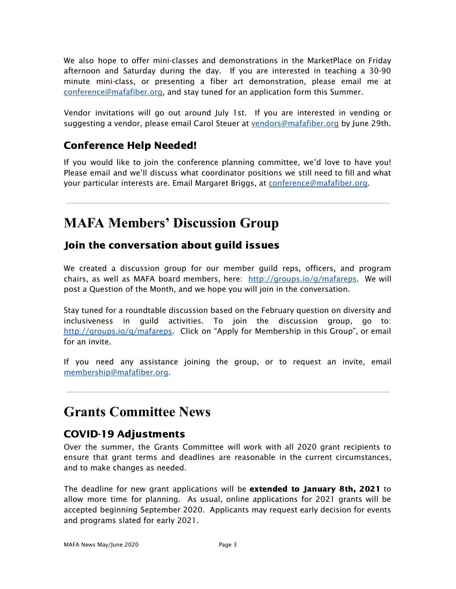We also hope to offer mini-classes and demonstrations in the MarketPlace on Friday afternoon and Saturday during the day. If you are interested in teaching a 30-90 minute mini-class, or presenting a fiber art demonstration, please email me at [conference@mafafiber.org](mailto:conference@mafafiber.org), and stay tuned for an application form this Summer.

Vendor invitations will go out around July 1st. If you are interested in vending or suggesting a vendor, please email Carol Steuer at [vendors@mafafiber.org](mailto:vendors@mafafiber.org) by June 29th.

## Conference Help Needed!

If you would like to join the conference planning committee, we'd love to have you! Please email and we'll discuss what coordinator positions we still need to fill and what your particular interests are. Email Margaret Briggs, at [conference@mafafiber.org.](mailto:conference@mafafiber.org)

# **MAFA Members' Discussion Group**

## Join the conversation about guild issues

We created a discussion group for our member guild reps, officers, and program chairs, as well as MAFA board members, here: <http://groups.io/g/mafareps>. We will post a Question of the Month, and we hope you will join in the conversation.

Stay tuned for a roundtable discussion based on the February question on diversity and inclusiveness in guild activities. To join the discussion group, go to: <http://groups.io/g/mafareps>. Click on "Apply for Membership in this Group", or email for an invite.

If you need any assistance joining the group, or to request an invite, email [membership@mafafiber.org.](mailto:membership@mafafiber.org)

# **Grants Committee News**

## COVID-19 Adjustments

Over the summer, the Grants Committee will work with all 2020 grant recipients to ensure that grant terms and deadlines are reasonable in the current circumstances, and to make changes as needed.

The deadline for new grant applications will be **extended to January 8th, 2021** to allow more time for planning. As usual, online applications for 2021 grants will be accepted beginning September 2020. Applicants may request early decision for events and programs slated for early 2021.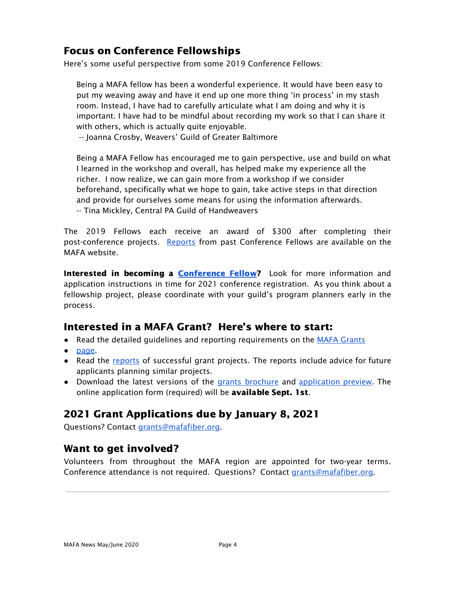## Focus on Conference Fellowships

Here's some useful perspective from some 2019 Conference Fellows:

Being a MAFA fellow has been a wonderful experience. It would have been easy to put my weaving away and have it end up one more thing 'in process' in my stash room. Instead, I have had to carefully articulate what I am doing and why it is important. I have had to be mindful about recording my work so that I can share it with others, which is actually quite enjoyable.

-- Joanna Crosby, Weavers' Guild of Greater Baltimore

Being a MAFA Fellow has encouraged me to gain perspective, use and build on what I learned in the workshop and overall, has helped make my experience all the richer. I now realize, we can gain more from a workshop if we consider beforehand, specifically what we hope to gain, take active steps in that direction and provide for ourselves some means for using the information afterwards. -- Tina Mickley, Central PA Guild of Handweavers

The 2019 Fellows each receive an award of \$300 after completing their post-conference projects. [Reports](https://mafafiber.org/grants/fellowships/fellowship-awards/) from past Conference Fellows are available on the MAFA website.

Interested in becoming a **[Conference](https://mafafiber.org/grants/fellowships/) Fellow?** Look for more information and application instructions in time for 2021 conference registration. As you think about a fellowship project, please coordinate with your guild's program planners early in the process.

## Interested in a MAFA Grant? Here's where to start:

- Read the detailed guidelines and reporting requirements on the MAFA [Grants](https://mafafiber.org/grants/guild-grants/)
- [page](https://mafafiber.org/grants/guild-grants/).
- Read the [reports](https://mafafiber.org/grants/guild-grants/grant-awards/) of successful grant projects. The reports include advice for future applicants planning similar projects.
- Download the latest versions of the grants [brochure](https://mafafiber.org/wp-content/uploads/Grants/Grants-Brochure_0619.pdf) and [application](https://mafafiber.org/wp-content/uploads/2019/08/Forms/MAFA-GRANT-APPLICATION-Preview.pdf) preview. The online application form (required) will be available Sept. 1st.

## 2021 Grant Applications due by January 8, 2021

Questions? Contact [grants@mafafiber.org](mailto:grants@mafafiber.org).

## Want to get involved?

Volunteers from throughout the MAFA region are appointed for two-year terms. Conference attendance is not required. Questions? Contact [grants@mafafiber.org](mailto:grants@mafafiber.org).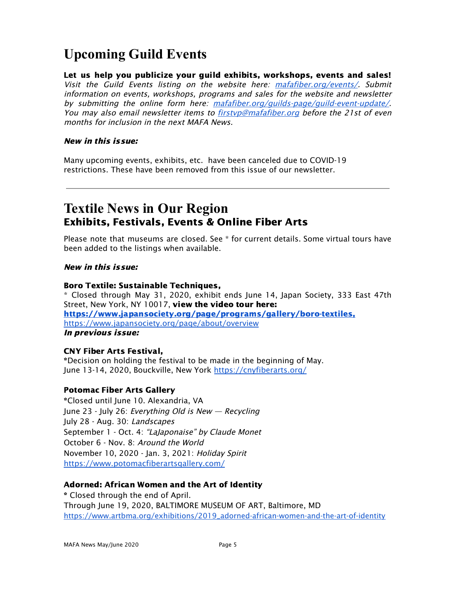# **Upcoming Guild Events**

Let us help you publicize your guild exhibits, workshops, events and sales! Visit the Guild Events listing on the website here: [mafafiber.org/events/](https://mafafiber.org/events/). Submit information on events, workshops, programs and sales for the website and newsletter by submitting the online form here: [mafafiber.org/guilds-page/guild-event-update/](https://mafafiber.org/guilds-page/guild-event-update/) You may also email newsletter items to firstyp@mafafiber.org before the 21st of even months for inclusion in the next MAFA News.

#### New in this issue:

Many upcoming events, exhibits, etc. have been canceled due to COVID-19 restrictions. These have been removed from this issue of our newsletter.

## **Textile News in Our Region** Exhibits, Festivals, Events & Online Fiber Arts

Please note that museums are closed. See \* for current details. Some virtual tours have been added to the listings when available.

#### New in this issue:

#### Boro Textile: Sustainable Techniques,

\* Closed through May 31, 2020, exhibit ends June 14, Japan Society, 333 East 47th Street, New York, NY 10017, view the video tour here: [https://www.japansociety.org/page/programs/gallery/boro-textiles,](https://www.japansociety.org/page/programs/gallery/boro-textiles) <https://www.japansociety.org/page/about/overview> In previous issue:

### CNY Fiber Arts Festival,

\* Decision on holding the festival to be made in the beginning of May. June 13-14, 2020, Bouckville, New York <https://cnyfiberarts.org/>

### Potomac Fiber Arts Gallery

\* Closed until June 10. Alexandria, VA June 23 - July 26: Everything Old is New  $-$  Recycling July 28 - Aug. 30: Landscapes September 1 - Oct. 4: "LaJaponaise" by Claude Monet October 6 - Nov. 8: Around the World November 10, 2020 - Jan. 3, 2021: Holiday Spirit <https://www.potomacfiberartsgallery.com/>

### Adorned: African Women and the Art of Identity

\* Closed through the end of April. Through June 19, 2020, BALTIMORE MUSEUM OF ART, Baltimore, MD [https://www.artbma.org/exhibitions/2019\\_adorned-african-women-and-the-art-of-identity](https://www.artbma.org/exhibitions/2019_adorned-african-women-and-the-art-of-identity)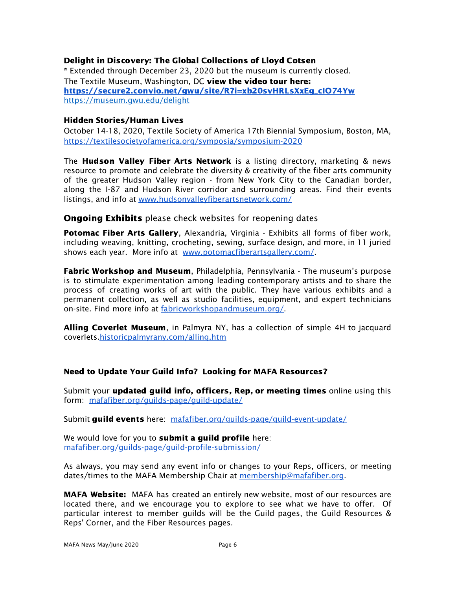### Delight in Discovery: The Global Collections of Lloyd Cotsen

\* Extended through December 23, 2020 but the museum is currently closed. The Textile Museum, Washington, DC view the video tour here: [https://secure2.convio.net/gwu/site/R?i=xb20svHRLsXxEg\\_cIO74Yw](https://secure2.convio.net/gwu/site/R?i=xb20svHRLsXxEg_cIO74Yw) https://museum.gwu.edu/delight

#### Hidden Stories/Human Lives

October 14-18, 2020, Textile Society of America 17th Biennial Symposium, Boston, MA, <https://textilesocietyofamerica.org/symposia/symposium-2020>

The **Hudson Valley Fiber Arts Network** is a listing directory, marketing & news resource to promote and celebrate the diversity & creativity of the fiber arts community of the greater Hudson Valley region - from New York City to the Canadian border, along the I-87 and Hudson River corridor and surrounding areas. Find their events listings, and info at [www.hudsonvalleyfiberartsnetwork.com/](http://www.hudsonvalleyfiberartsnetwork.com/)

#### **Ongoing Exhibits** please check websites for reopening dates

**Potomac Fiber Arts Gallery, Alexandria, Virginia - Exhibits all forms of fiber work,** including weaving, knitting, crocheting, sewing, surface design, and more, in 11 juried shows each year. More info at [www.potomacfiberartsgallery.com/.](http://www.potomacfiberartsgallery.com/)

Fabric Workshop and Museum, Philadelphia, Pennsylvania - The museum's purpose is to stimulate experimentation among leading contemporary artists and to share the process of creating works of art with the public. They have various exhibits and a permanent collection, as well as studio facilities, equipment, and expert technicians on-site. Find more info at [fabricworkshopandmuseum.org/](http://fabricworkshopandmuseum.org/).

Alling Coverlet Museum, in Palmyra NY, has a collection of simple 4H to jacquard coverlets.[historicpalmyrany.com/alling.htm](http://historicpalmyrany.com/alling.htm)

#### Need to Update Your Guild Info? Looking for MAFA Resources?

Submit your updated guild info, officers, Rep, or meeting times online using this form: [mafafiber.org/guilds-page/guild-update/](http://mafafiber.org/guilds-page/guild-update/)

Submit quild events here: [mafafiber.org/guilds-page/guild-event-update/](http://mafafiber.org/guilds-page/guild-event-update/)

We would love for you to **submit a guild profile** here: [mafafiber.org/guilds-page/guild-profile-submission/](https://mafafiber.org/guilds-page/guild-profile-submission/)

As always, you may send any event info or changes to your Reps, officers, or meeting dates/times to the MAFA Membership Chair at [membership@mafafiber.org.](mailto:membership@mafafiber.org)

**MAFA Website:** MAFA has created an entirely new website, most of our resources are located there, and we encourage you to explore to see what we have to offer. Of particular interest to member guilds will be the Guild pages, the Guild Resources & Reps' Corner, and the Fiber Resources pages.